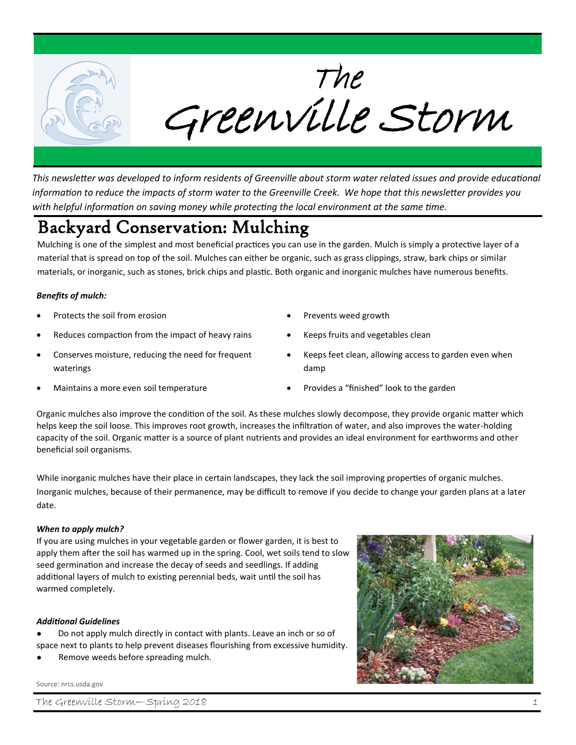

*This newsletter was developed to inform residents of Greenville about storm water related issues and provide educational information to reduce the impacts of storm water to the Greenville Creek. We hope that this newsletter provides you with helpful information on saving money while protecting the local environment at the same time.*

# Backyard Conservation: Mulching

Mulching is one of the simplest and most beneficial practices you can use in the garden. Mulch is simply a protective layer of a material that is spread on top of the soil. Mulches can either be organic, such as grass clippings, straw, bark chips or similar materials, or inorganic, such as stones, brick chips and plastic. Both organic and inorganic mulches have numerous benefits.

#### *Benefits of mulch:*

- Protects the soil from erosion
- Reduces compaction from the impact of heavy rains
- Conserves moisture, reducing the need for frequent waterings
- Maintains a more even soil temperature
- Prevents weed growth
- Keeps fruits and vegetables clean
- Keeps feet clean, allowing access to garden even when damp
- Provides a "finished" look to the garden

Organic mulches also improve the condition of the soil. As these mulches slowly decompose, they provide organic matter which helps keep the soil loose. This improves root growth, increases the infiltration of water, and also improves the water-holding capacity of the soil. Organic matter is a source of plant nutrients and provides an ideal environment for earthworms and other beneficial soil organisms.

While inorganic mulches have their place in certain landscapes, they lack the soil improving properties of organic mulches. Inorganic mulches, because of their permanence, may be difficult to remove if you decide to change your garden plans at a later date.

#### *When to apply mulch?*

If you are using mulches in your vegetable garden or flower garden, it is best to apply them after the soil has warmed up in the spring. Cool, wet soils tend to slow seed germination and increase the decay of seeds and seedlings. If adding additional layers of mulch to existing perennial beds, wait until the soil has warmed completely.

#### *Additional Guidelines*

Do not apply mulch directly in contact with plants. Leave an inch or so of space next to plants to help prevent diseases flourishing from excessive humidity.

Remove weeds before spreading mulch.

#### Source: nrcs.usda.gov



The Greenville Storm—Spring 2018 1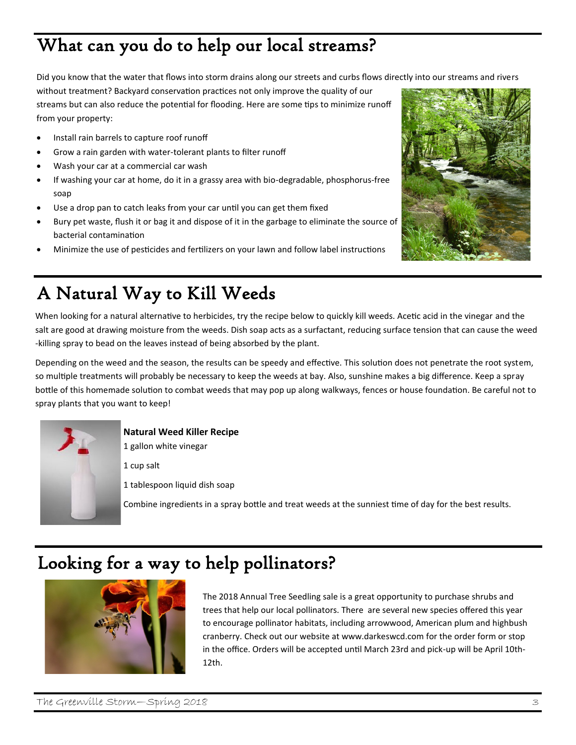# What can you do to help our local streams?

Did you know that the water that flows into storm drains along our streets and curbs flows directly into our streams and rivers

without treatment? Backyard conservation practices not only improve the quality of our streams but can also reduce the potential for flooding. Here are some tips to minimize runoff from your property:

- Install rain barrels to capture roof runoff
- Grow a rain garden with water-tolerant plants to filter runoff
- Wash your car at a commercial car wash
- If washing your car at home, do it in a grassy area with bio-degradable, phosphorus-free soap
- Use a drop pan to catch leaks from your car until you can get them fixed
- Bury pet waste, flush it or bag it and dispose of it in the garbage to eliminate the source of bacterial contamination
- Minimize the use of pesticides and fertilizers on your lawn and follow label instructions



# A Natural Way to Kill Weeds

When looking for a natural alternative to herbicides, try the recipe below to quickly kill weeds. Acetic acid in the vinegar and the salt are good at drawing moisture from the weeds. Dish soap acts as a surfactant, reducing surface tension that can cause the weed -killing spray to bead on the leaves instead of being absorbed by the plant.

Depending on the weed and the season, the results can be speedy and effective. This solution does not penetrate the root system, so multiple treatments will probably be necessary to keep the weeds at bay. Also, sunshine makes a big difference. Keep a spray bottle of this homemade solution to combat weeds that may pop up along walkways, fences or house foundation. Be careful not to spray plants that you want to keep!



**Natural Weed Killer Recipe**

1 gallon white vinegar

1 cup salt

1 tablespoon liquid dish soap

Combine ingredients in a spray bottle and treat weeds at the sunniest time of day for the best results.

## Looking for a way to help pollinators?



The 2018 Annual Tree Seedling sale is a great opportunity to purchase shrubs and trees that help our local pollinators. There are several new species offered this year to encourage pollinator habitats, including arrowwood, American plum and highbush cranberry. Check out our website at www.darkeswcd.com for the order form or stop in the office. Orders will be accepted until March 23rd and pick-up will be April 10th-12th.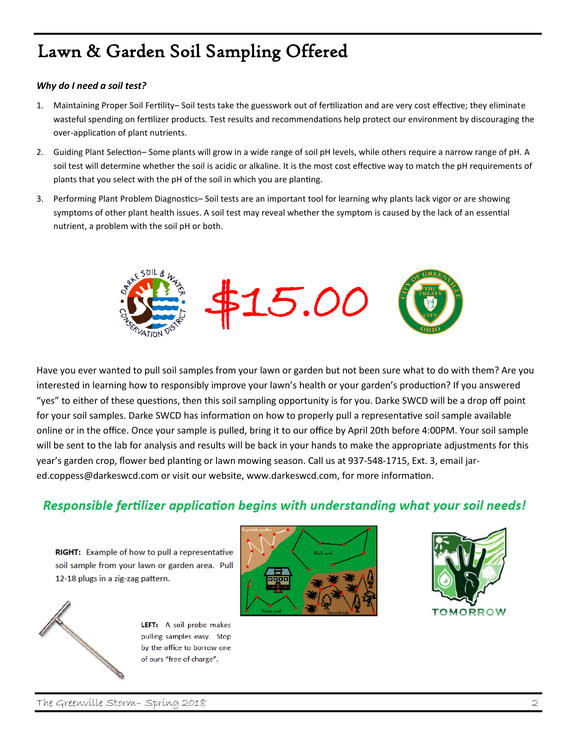## Lawn & Garden Soil Sampling Offered

#### *Why do I need a soil test?*

- 1. Maintaining Proper Soil Fertility– Soil tests take the guesswork out of fertilization and are very cost effective; they eliminate wasteful spending on fertilizer products. Test results and recommendations help protect our environment by discouraging the over-application of plant nutrients.
- 2. Guiding Plant Selection– Some plants will grow in a wide range of soil pH levels, while others require a narrow range of pH. A soil test will determine whether the soil is acidic or alkaline. It is the most cost effective way to match the pH requirements of plants that you select with the pH of the soil in which you are planting.
- 3. Performing Plant Problem Diagnostics– Soil tests are an important tool for learning why plants lack vigor or are showing symptoms of other plant health issues. A soil test may reveal whether the symptom is caused by the lack of an essential nutrient, a problem with the soil pH or both.



Have you ever wanted to pull soil samples from your lawn or garden but not been sure what to do with them? Are you interested in learning how to responsibly improve your lawn's health or your garden's production? If you answered "yes" to either of these questions, then this soil sampling opportunity is for you. Darke SWCD will be a drop off point for your soil samples. Darke SWCD has information on how to properly pull a representative soil sample available online or in the office. Once your sample is pulled, bring it to our office by April 20th before 4:00PM. Your soil sample will be sent to the lab for analysis and results will be back in your hands to make the appropriate adjustments for this year's garden crop, flower bed planting or lawn mowing season. Call us at 937-548-1715, Ext. 3, email jared.coppess@darkeswcd.com or visit our website, www.darkeswcd.com, for more information.

## Responsible fertilizer application begins with understanding what your soil needs!

RIGHT: Example of how to pull a representative soil sample from your lawn or garden area. Pull 12-18 plugs in a zig-zag pattern.



LEFT: A soil probe makes pulling samples easy. Stop by the office to borrow one of ours "free of charge".